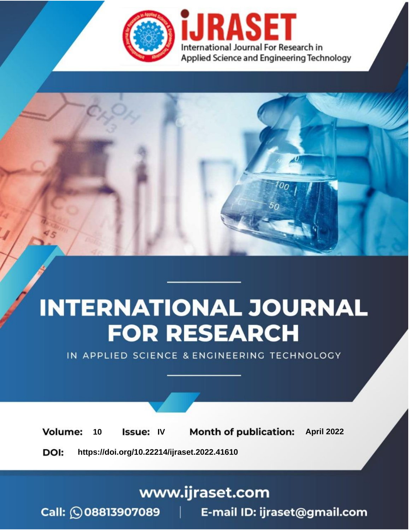

# **INTERNATIONAL JOURNAL FOR RESEARCH**

IN APPLIED SCIENCE & ENGINEERING TECHNOLOGY

10 **Issue: IV Month of publication:** April 2022 **Volume:** 

**https://doi.org/10.22214/ijraset.2022.41610**DOI:

www.ijraset.com

Call: 008813907089 | E-mail ID: ijraset@gmail.com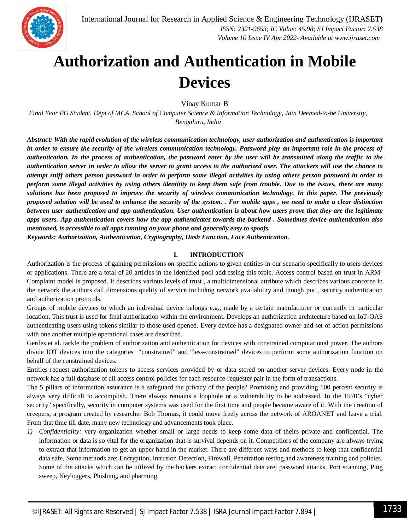### **Authorization and Authentication in Mobile Devices**

Vinay Kumar B

*Final Year PG Student, Dept of MCA, School of Computer Science & Information Technology, Jain Deemed-to-be University, Bengaluru, India*

*Abstract: With the rapid evolution of the wireless communication technology, user authorization and authentication is important in order to ensure the security of the wireless communication technology. Password play an important role in the process of authentication. In the process of authentication, the password enter by the user will be transmitted along the traffic to the authentication server in order to allow the server to grant access to the authorized user. The attackers will use the chance to attempt sniff others person password in order to perform some illegal activities by using others person password in order to perform some illegal activities by using others identitity to keep them safe from trouble. Due to the issues, there are many solutions has been proposed to improve the security of wireless communication technology. In this paper. The previously proposed solution will be used to enhance the security of the system. . For mobile apps , we need to make a clear distinction between user authentication and app authentication. User authentication is about how users prove that they are the legitimate apps users. App authentication covers how the app authenticates towards the backend . Sometimes device authentication also mentioned, is accessible to all apps running on your phone and generally easy to spoofs.*

*Keywords: Authorization, Authentication, Cryptography, Hash Function, Face Authentication.*

#### **I. INTRODUCTION**

Authorization is the process of gaining permissions on specific actions to given entities-in our scenario specifically to users devices or applications. There are a total of 20 articles in the identified pool addressing this topic. Access control based on trust in ARM-Complaint model is proposed. It describes various levels of trust , a multidimensional attribute which describes various concerns in the network the authors call dimensions quality of service including network availability and though put , security authentication and authorization protocols.

Groups of mobile devices to which an individual device belongs e.g., made by a certain manufacturer or currently in particular location. This trust is used for final authorization within the environment. Develops an authorization architecture based on IoT-OAS authenticating users using tokens similar to those used opened. Every device has a designated owner and set of action permissions with one another multiple operational cases are described.

Gerdes et al. tackle the problem of authorization and authentication for devices with constrained computational power. The authors divide IOT devices into the categories "constrained" and "less-constrained" devices to perform some authorization function on behalf of the constrained devices.

Entitles request authorization tokens to access services provided by or data stored on another server devices. Every node in the network has a full database of all access control policies for each resource-requester pair in the form of transactions.

The 5 pillars of information assurance is a safeguard the privacy of the people? Promising and providing 100 percent security is always very difficult to accomplish. There always remains a loophole or a vulnerability to be addressed. In the 1970's "cyber security" specifically, security in computer systems was used for the first time and people became aware of it. With the creation of creepers, a program created by researcher Bob Thomas, it could move freely across the network of AROANET and leave a trial. From that time till date, many new technology and advancements took place.

*1) Confidentiality:* very organization whether small or large needs to keep some data of theirs private and confidential. The information or data is so vital for the organization that is survival depends on it. Competitiors of the company are always trying to extract that information to get an upper hand in the market. There are different ways and methods to keep that confidential data safe. Some methods are; Encryption, Intrusion Detection, Firewall, Penetration testing,and awareness training and policies. Some of the attacks which can be utilized by the hackers extract confidential data are; password attacks, Port scanning, Ping sweep, Keyloggers, Phishing, and pharming.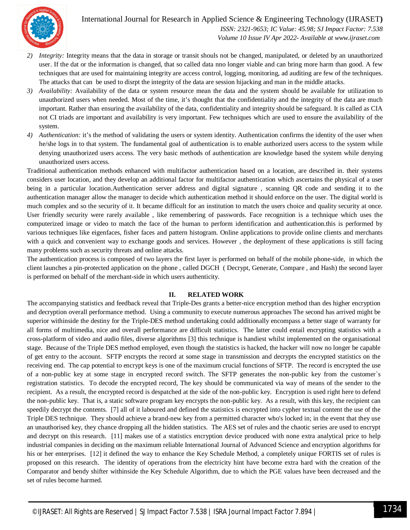

 *ISSN: 2321-9653; IC Value: 45.98; SJ Impact Factor: 7.538 Volume 10 Issue IV Apr 2022- Available at www.ijraset.com*

- *2) Integrity:* Integrity means that the data in storage or transit shouls not be changed, manipulated, or deleted by an unauthorized user. If the dat or the information is changed, that so called data nno longer viable and can bring more harm than good. A few techniques that are used for maintaining integrity are access control, logging, monitoring, ad auditing are few of the techniques. The attacks that can be used to disrpt the integrity of the data are session hijacking and man in the middle attacks.
- *3) Availability:* Availability of the data or system resource mean the data and the system should be available for utilization to unauthorized users when needed. Most of the time, it's thought that the confidentiality and the integrity of the data are much important. Rather than ensuring the availability of the data, confidentiality and integrity should be safeguard. It is called as CIA not CI triads are important and availability is very important. Few techniques which are used to ensure the availability of the system.
- *4) Authentication:* it's the method of validating the users or system identity. Authentication confirms the identity of the user when he/she logs in to that system. The fundamental goal of authentication is to enable authorized users access to the system while denying unauthorized users access. The very basic methods of authentication are knowledge based the system while denying unauthorized users access.

Traditional authentication methods enhanced with multifactor authentication based on a location, are described in. their systems considers user location, and they develop an additional factor for multifactor authentication which ascertains the physical of a user being in a particular location.Authentication server address and digital signature , scanning QR code and sending it to the authentication manager allow the manager to decide which authentication method it should enforce on the user. The digital world is much complex and so the security of it. It became difficult for an institution to match the users choice and quality security at once. User friendly security were rarely available , like remembering of passwords. Face recognition is a technique which uses the computerized image or video to match the face of the human to perform identification and authentication.this is performed by various techniques like eigenfaces, fisher faces and pattern histogram. Online applications to provide online clients and merchants with a quick and convenient way to exchange goods and services. However , the deployment of these applications is still facing many problems such as security threats and online attacks.

The authentication process is composed of two layers the first layer is performed on behalf of the mobile phone-side, in which the client launches a pin-protected application on the phone , called DGCH ( Decrypt, Generate, Compare , and Hash) the second layer is performed on behalf of the merchant-side in which users authenticity.

#### **II. RELATED WORK**

The accompanying statistics and feedback reveal that Triple-Des grants a better-nice encryption method than des higher encryption and decryption overall performance method. Using a community to execute numerous approaches The second has arrived might be superior withinside the destiny for the Triple-DES method undertaking could additionally encompass a better stage of warranty for all forms of multimedia, nice and overall performance are difficult statistics. The latter could entail encrypting statistics with a cross-platform of video and audio files, diverse algorithms [3] this technique is handiest whilst implemented on the organisational stage. Because of the Triple DES method employed, even though the statistics is hacked, the hacker will now no longer be capable of get entry to the account. SFTP encrypts the record at some stage in transmission and decrypts the encrypted statistics on the receiving end. The cap potential to encrypt keys is one of the maximum crucial functions of SFTP. The record is encrypted the use of a non-public key at some stage in encrypted record switch. The SFTP generates the non-public key from the customer`s registration statistics. To decode the encrypted record, The key should be communicated via way of means of the sender to the recipient. As a result, the encrypted record is despatched at the side of the non-public key. Encryption is used right here to defend the non-public key. That is, a static software program key encrypts the non-public key. As a result, with this key, the recipient can speedily decrypt the contents. [7] all of it laboured and defined the statistics is encrypted into cypher textual content the use of the Triple DES technique. They should achieve a brand-new key from a permitted character who's locked in; in the event that they use an unauthorised key, they chance dropping all the hidden statistics. The AES set of rules and the chaotic series are used to encrypt and decrypt on this research. [11] makes use of a statistics encryption device produced with none extra analytical price to help industrial companies in deciding on the maximum reliable International Journal of Advanced Science and encryption algorithms for his or her enterprises. [12] it defined the way to enhance the Key Schedule Method, a completely unique FORTIS set of rules is proposed on this research. The identity of operations from the electricity hint have become extra hard with the creation of the Comparator and bendy shifter withinside the Key Schedule Algorithm, due to which the PGE values have been decreased and the set of rules become harmed.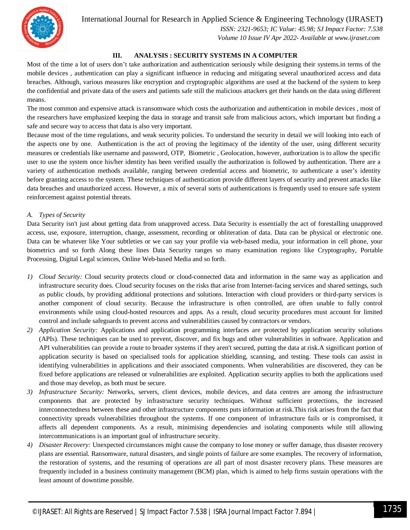

 *ISSN: 2321-9653; IC Value: 45.98; SJ Impact Factor: 7.538 Volume 10 Issue IV Apr 2022- Available at www.ijraset.com*

#### **III. ANALYSIS : SECURITY SYSTEMS IN A COMPUTER**

Most of the time a lot of users don't take authorization and authentication seriously while designing their systems. in terms of the mobile devices , authentication can play a significant influence in reducing and mitigating several unauthorized access and data breaches. Although, various measures like encryption and cryptographic algorithms are used at the backend of the system to keep the confidential and private data of the users and patients safe still the malicious attackers get their hands on the data using different means.

The most common and expensive attack is ransomware which costs the authorization and authentication in mobile devices , most of the researchers have emphasized keeping the data in storage and transit safe from malicious actors, which important but finding a safe and secure way to access that data is also very important.

Because most of the time regulations, and weak security policies. To understand the security in detail we will looking into each of the aspects one by one. Authentication is the act of proving the legitimacy of the identity of the user, using different security measures or credentials like username and password, OTP, Biometric , Geolocation, however, authorization is to allow the specific user to use the system once his/her identity has been verified usually the authorization is followed by authentication. There are a variety of authentication methods available, ranging between credential access and biometric, to authenticate a user's identity before granting access to the system. These techniques of authentication provide different layers of security and prevent attacks like data breaches and unauthorized access. However, a mix of several sorts of authentications is frequently used to ensure safe system reinforcement against potential threats.

#### *A. Types of Security*

Data Security isn't just about getting data from unapproved access. Data Security is essentially the act of forestalling unapproved access, use, exposure, interruption, change, assessment, recording or obliteration of data. Data can be physical or electronic one. Data can be whatever like Your subtleties or we can say your profile via web-based media, your information in cell phone, your biometrics and so forth Along these lines Data Security ranges so many examination regions like Cryptography, Portable Processing, Digital Legal sciences, Online Web-based Media and so forth.

- *1) Cloud Security:* Cloud security protects cloud or cloud-connected data and information in the same way as application and infrastructure security does. Cloud security focuses on the risks that arise from Internet-facing services and shared settings, such as public clouds, by providing additional protections and solutions. Interaction with cloud providers or third-party services is another component of cloud security. Because the infrastructure is often controlled, are often unable to fully control environments while using cloud-hosted resources and apps. As a result, cloud security procedures must account for limited control and include safeguards to prevent access and vulnerabilities caused by contractors or vendors.
- *2) Application Security:* Applications and application programming interfaces are protected by application security solutions (APIs). These techniques can be used to prevent, discover, and fix bugs and other vulnerabilities in software. Application and API vulnerabilities can provide a route to broader systems if they aren't secured, putting the data at risk.A significant portion of application security is based on specialised tools for application shielding, scanning, and testing. These tools can assist in identifying vulnerabilities in applications and their associated components. When vulnerabilities are discovered, they can be fixed before applications are released or vulnerabilities are exploited. Application security applies to both the applications used and those may develop, as both must be secure.
- *3) Infrastructure Security:* Networks, servers, client devices, mobile devices, and data centres are among the infrastructure components that are protected by infrastructure security techniques. Without sufficient protections, the increased interconnectedness between these and other infrastructure components puts information at risk.This risk arises from the fact that connectivity spreads vulnerabilities throughout the systems. If one component of infrastructure fails or is compromised, it affects all dependent components. As a result, minimising dependencies and isolating components while still allowing intercommunications is an important goal of infrastructure security.
- *4) Disaster Recovery:* Unexpected circumstances might cause the company to lose money or suffer damage, thus disaster recovery plans are essential. Ransomware, natural disasters, and single points of failure are some examples. The recovery of information, the restoration of systems, and the resuming of operations are all part of most disaster recovery plans. These measures are frequently included in a business continuity management (BCM) plan, which is aimed to help firms sustain operations with the least amount of downtime possible.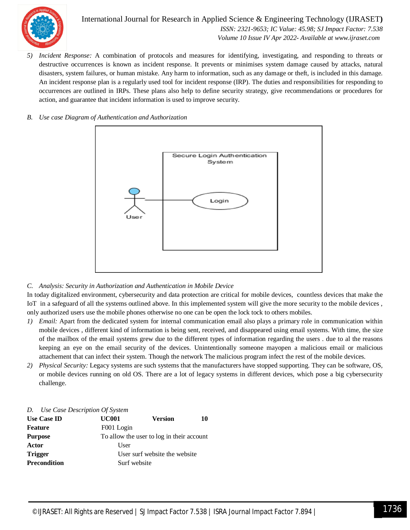

International Journal for Research in Applied Science & Engineering Technology (IJRASET**)**  *ISSN: 2321-9653; IC Value: 45.98; SJ Impact Factor: 7.538 Volume 10 Issue IV Apr 2022- Available at www.ijraset.com*

*5) Incident Response:* A combination of protocols and measures for identifying, investigating, and responding to threats or destructive occurrences is known as incident response. It prevents or minimises system damage caused by attacks, natural disasters, system failures, or human mistake. Any harm to information, such as any damage or theft, is included in this damage. An incident response plan is a regularly used tool for incident response (IRP). The duties and responsibilities for responding to occurrences are outlined in IRPs. These plans also help to define security strategy, give recommendations or procedures for action, and guarantee that incident information is used to improve security.





*C. Analysis: Security in Authorization and Authentication in Mobile Device*

In today digitalized environment, cybersecurity and data protection are critical for mobile devices, countless devices that make the IoT in a safeguard of all the systems outlined above. In this implemented system will give the more security to the mobile devices, only authorized users use the mobile phones otherwise no one can be open the lock tock to others mobiles.

- *1) Email:* Apart from the dedicated system for internal communication email also plays a primary role in communication within mobile devices , different kind of information is being sent, received, and disappeared using email systems. With time, the size of the mailbox of the email systems grew due to the different types of information regarding the users . due to al the reasons keeping an eye on the email security of the devices. Unintentionally someone mayopen a malicious email or malicious attachement that can infect their system. Though the network The malicious program infect the rest of the mobile devices.
- *2) Physical Security:* Legacy systems are such systems that the manufacturers have stopped supporting. They can be software, OS, or mobile devices running on old OS. There are a lot of legacy systems in different devices, which pose a big cybersecurity challenge.

|  |  |  | D. Use Case Description Of System |  |  |
|--|--|--|-----------------------------------|--|--|
|--|--|--|-----------------------------------|--|--|

| <b>Use Case ID</b>  | <b>UC001</b>                              | <b>Version</b> | 10 |
|---------------------|-------------------------------------------|----------------|----|
| <b>Feature</b>      | F001 Login                                |                |    |
| <b>Purpose</b>      | To allow the user to log in their account |                |    |
| Actor               | User                                      |                |    |
| <b>Trigger</b>      | User surf website the website             |                |    |
| <b>Precondition</b> | Surf website                              |                |    |
|                     |                                           |                |    |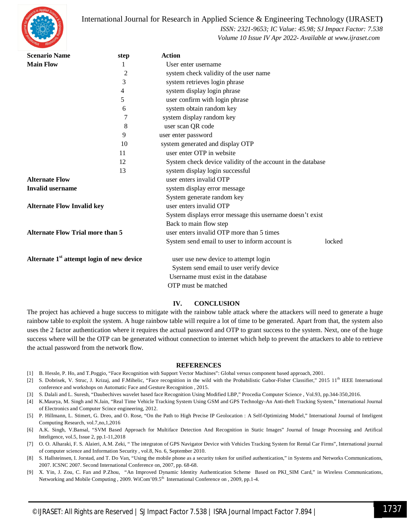

 *ISSN: 2321-9653; IC Value: 45.98; SJ Impact Factor: 7.538 Volume 10 Issue IV Apr 2022- Available at www.ijraset.com*

| <b>Scenario Name</b>                                  | step             | <b>Action</b>                                               |  |  |  |
|-------------------------------------------------------|------------------|-------------------------------------------------------------|--|--|--|
| <b>Main Flow</b>                                      | 1                | User enter username                                         |  |  |  |
|                                                       | 2                | system check validity of the user name                      |  |  |  |
|                                                       | 3                | system retrieves login phrase                               |  |  |  |
|                                                       | 4                | system display login phrase                                 |  |  |  |
|                                                       | 5                | user confirm with login phrase                              |  |  |  |
|                                                       | 6                | system obtain random key                                    |  |  |  |
|                                                       | $\boldsymbol{7}$ | system display random key                                   |  |  |  |
|                                                       | 8                | user scan QR code                                           |  |  |  |
|                                                       | 9                | user enter password                                         |  |  |  |
|                                                       | 10               | system generated and display OTP                            |  |  |  |
|                                                       | 11               | user enter OTP in website                                   |  |  |  |
|                                                       | 12               | System check device validity of the account in the database |  |  |  |
|                                                       | 13               | system display login successful                             |  |  |  |
| <b>Alternate Flow</b>                                 |                  | user enters invalid OTP                                     |  |  |  |
| <b>Invalid username</b>                               |                  | system display error message                                |  |  |  |
|                                                       |                  | System generate random key                                  |  |  |  |
| <b>Alternate Flow Invalid key</b>                     |                  | user enters invalid OTP                                     |  |  |  |
|                                                       |                  | System displays error message this username doesn't exist   |  |  |  |
|                                                       |                  | Back to main flow step                                      |  |  |  |
| <b>Alternate Flow Trial more than 5</b>               |                  | user enters invalid OTP more than 5 times                   |  |  |  |
|                                                       |                  | System send email to user to inform account is<br>locked    |  |  |  |
| Alternate 1 <sup>st</sup> attempt login of new device |                  | user use new device to attempt login                        |  |  |  |
|                                                       |                  | System send email to user verify device                     |  |  |  |
|                                                       |                  | Username must exist in the database                         |  |  |  |
|                                                       |                  | OTP must be matched                                         |  |  |  |

#### **IV. CONCLUSION**

The project has achieved a huge success to mitigate with the rainbow table attack where the attackers will need to generate a huge rainbow table to exploit the system. A huge rainbow table will require a lot of time to be generated. Apart from that, the system also uses the 2 factor authentication where it requires the actual password and OTP to grant success to the system. Next, one of the huge success where will be the OTP can be generated without connection to internet which help to prevent the attackers to able to retrieve the actual password from the network flow.

#### **REFERENCES**

- [1] B. Hessle, P. Ho, and T.Poggio, "Face Recognition with Support Vector Machines": Global versus component based approach, 2001.
- [2] S. Dobrisek, V. Struc, J. Krizaj, and F.Mihelic, "Face recognition in the wild with the Probabilistic Gabor-Fisher Classifier," 2015 11<sup>th</sup> IEEE International conference and workshops on Automatic Face and Gesture Recognition , 2015.
- [3] S. Dalali and L. Suresh, "Daubechives wavelet based face Recognition Using Modified LBP," Procedia Computer Science , Vol.93, pp.344-350,2016.
- [4] K.Maurya, M. Singh and N.Jain, "Real Time Vehicle Tracking System Using GSM and GPS Technolgy-An Anti-theft Tracking System," International Journal of Electronics and Computer Scince engineering, 2012.
- [5] P. Hillmann, L. Stimert, G. Dreo, and O. Rose, "On the Path to High Precise IP Geolocation : A Self-Optimizing Model," International Journal of Inteligent Computing Research, vol.7,no,1,2016
- [6] A.K. Singh, V.Bansal, "SVM Based Approach for Multiface Detection And Recognition in Static Images" Journal of Image Processing and Artifical Inteligence, vol.5, Issue 2, pp.1-11,2018
- [7] O. O. Alharaki, F. S. Alaieri, A.M. Zeki, " The integraton of GPS Navigator Device with Vehicles Tracking System for Rental Car Firms", International journal of computer science and Information Security , vol.8, No. 6, September 2010.
- [8] S. Hallsteinsen, I. Jorstad, and T. Do Van, "Using the mobile phone as a security token for unified authentication," in Systems and Networks Communications, 2007. ICSNC 2007. Second International Conference on, 2007, pp. 68-68.
- [9] X. Yin, J. Zou, C. Fan and P.Zhou, "An Improved Dynamic Identity Authentication Scheme Based on PKI\_SIM Card," in Wireless Communications, Networking and Mobile Computing, 2009. WiCom'09.5<sup>th</sup> International Conference on, 2009, pp.1-4.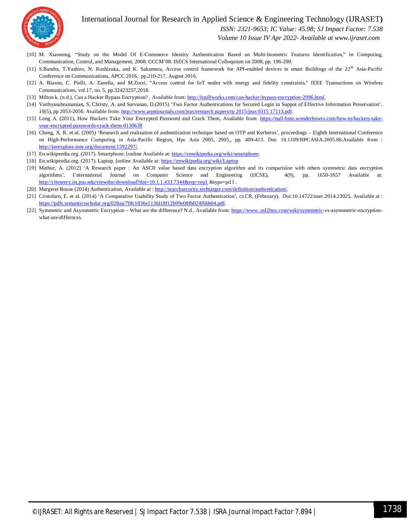

 *ISSN: 2321-9653; IC Value: 45.98; SJ Impact Factor: 7.538*

 *Volume 10 Issue IV Apr 2022- Available at www.ijraset.com*

- [10] M. Xiaoming, "Study on the Model Of E-Commerce Identity Authentication Based on Multi-biometric Features Identification," in Computing, Communication, Control, and Management, 2008. CCCM'08. ISECS International Colloquium on 2008, pp. 196-200.
- [11] S.Bandra, T.Yashiro, N. Koshizuka, and K. Sakamura, Access control framework for API-enabled devices in smart Buildings of the 22<sup>nd</sup> Asia-Pacific Conference on Communications, APCC 2016, pp.210-217, August 2016.
- [12] A. Biason, C. Pielli, A. Zanella, and M.Zorzi, "Access control for IoT nodes with energy and fidelity constraints," IEEE Transactions on Wireless Communications, vol.17, no. 5, pp.32423257,2018.
- [13] Milton k. (n.d.), Can a Hacker Bypass Encryption? , Available from: http://itstillworks.com/can-hacker-bypass-encryption-2996.html.
- [14] Vaithyasubramanian, S, Christy, A. and Sarvanan, D.(2015) 'Two Factor Authentications for Secured Login in Suppot of Effective Information Preservation', 10(5), pp 2053-2056. Available from: http://www.arpnjournals.com/jeas/research papers/rp 2015/jeas 0315 17113.pdf.
- [15] Long A. (2011), How Hackers Take Your Encrypted Password and Crack Them, Available from: https://null-byte.wonderhowto.com/how-to/hackers-takeyour-encrypted-passwords-crack-them-0130638
- [16] Cheng, X. R. et al. (2005) 'Research and realization of authentication technique based on OTP and Kerberos', proceedings Eighth International Conference on High-Performance Computing in Asia-Pacific Region, Hpc Asia 2005, 2005,, pp. 409-413. Doi: 10.1109/HPCASIA.2005.86.Available from : http://ieeexplore.ieee.org/document/1592297/.
- [17] En.wikipeedia.org. (2017). Smartphone. [online Available at: https://enwikipedia.org/wiki/smartphone.
- [18] En.wikipeedia.org. (2017). Laptop. [online Available at: https://enwikipedia.org/wiki/Laptop
- [19] Mathur, A. (2012) 'A Research paper : An ASCII value based data encryption algorithm and its comparision with others symmetric data encryption algorithms', I'nternational Journal on Computer Science and Engineering (IJCSE), 4(9), pp. 1650-1657 Available at: http://citeseerx.ist.psu.edu/viewdoc/download?doi=10.1.1.433.7344&rep=rep1 &type=pd f.
- [20] Margeret Rouse (2014) Authentication, Available at : http://searchsecurity.techtarget.com/definition/authentication/.
- [21] Cristofaro, E. et al. (2014) 'A Comparative Usability Study of Two Factor Authentication', cs.CR, (February). Doi:10.14722/usec.2014.23025. Available at : https://pdfs.semanticsscholar.org/028aa/70fc1836e113fd18f12b99e08fb024f6bb04.pdf.
- [22] Symmetric and Asymmetric Encryption What are the difference? N.d., Available from: https://www..ssI2buy.com/wiki/symmetric-vs-asymmetric-encryptionwhat-are-differnces.